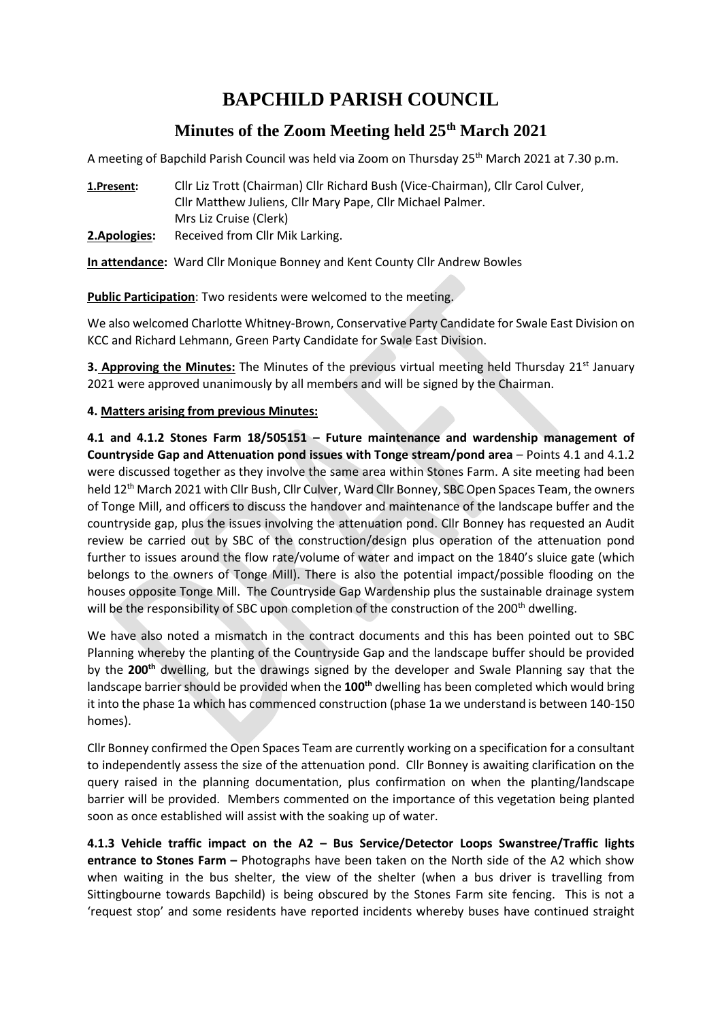# **BAPCHILD PARISH COUNCIL**

# **Minutes of the Zoom Meeting held 25th March 2021**

A meeting of Bapchild Parish Council was held via Zoom on Thursday 25<sup>th</sup> March 2021 at 7.30 p.m.

**1.Present:** Cllr Liz Trott (Chairman) Cllr Richard Bush (Vice-Chairman), Cllr Carol Culver, Cllr Matthew Juliens, Cllr Mary Pape, Cllr Michael Palmer. Mrs Liz Cruise (Clerk) **2.Apologies:** Received from Cllr Mik Larking.

**In attendance:** Ward Cllr Monique Bonney and Kent County Cllr Andrew Bowles

**Public Participation**: Two residents were welcomed to the meeting.

We also welcomed Charlotte Whitney-Brown, Conservative Party Candidate for Swale East Division on KCC and Richard Lehmann, Green Party Candidate for Swale East Division.

**3. Approving the Minutes:** The Minutes of the previous virtual meeting held Thursday 21<sup>st</sup> January 2021 were approved unanimously by all members and will be signed by the Chairman.

#### **4. Matters arising from previous Minutes:**

**4.1 and 4.1.2 Stones Farm 18/505151 – Future maintenance and wardenship management of Countryside Gap and Attenuation pond issues with Tonge stream/pond area** – Points 4.1 and 4.1.2 were discussed together as they involve the same area within Stones Farm. A site meeting had been held 12<sup>th</sup> March 2021 with Cllr Bush, Cllr Culver, Ward Cllr Bonney, SBC Open Spaces Team, the owners of Tonge Mill, and officers to discuss the handover and maintenance of the landscape buffer and the countryside gap, plus the issues involving the attenuation pond. Cllr Bonney has requested an Audit review be carried out by SBC of the construction/design plus operation of the attenuation pond further to issues around the flow rate/volume of water and impact on the 1840's sluice gate (which belongs to the owners of Tonge Mill). There is also the potential impact/possible flooding on the houses opposite Tonge Mill. The Countryside Gap Wardenship plus the sustainable drainage system will be the responsibility of SBC upon completion of the construction of the 200<sup>th</sup> dwelling.

We have also noted a mismatch in the contract documents and this has been pointed out to SBC Planning whereby the planting of the Countryside Gap and the landscape buffer should be provided by the **200th** dwelling, but the drawings signed by the developer and Swale Planning say that the landscape barrier should be provided when the **100th** dwelling has been completed which would bring it into the phase 1a which has commenced construction (phase 1a we understand is between 140-150 homes).

Cllr Bonney confirmed the Open Spaces Team are currently working on a specification for a consultant to independently assess the size of the attenuation pond. Cllr Bonney is awaiting clarification on the query raised in the planning documentation, plus confirmation on when the planting/landscape barrier will be provided. Members commented on the importance of this vegetation being planted soon as once established will assist with the soaking up of water.

**4.1.3 Vehicle traffic impact on the A2 – Bus Service/Detector Loops Swanstree/Traffic lights entrance to Stones Farm –** Photographs have been taken on the North side of the A2 which show when waiting in the bus shelter, the view of the shelter (when a bus driver is travelling from Sittingbourne towards Bapchild) is being obscured by the Stones Farm site fencing. This is not a 'request stop' and some residents have reported incidents whereby buses have continued straight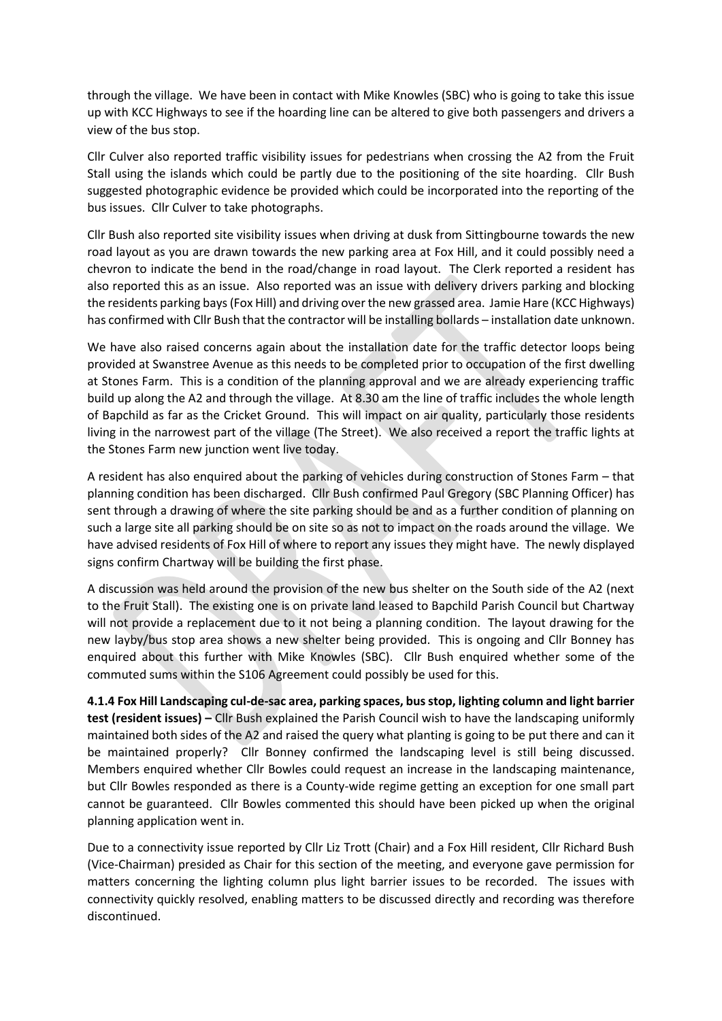through the village. We have been in contact with Mike Knowles (SBC) who is going to take this issue up with KCC Highways to see if the hoarding line can be altered to give both passengers and drivers a view of the bus stop.

Cllr Culver also reported traffic visibility issues for pedestrians when crossing the A2 from the Fruit Stall using the islands which could be partly due to the positioning of the site hoarding. Cllr Bush suggested photographic evidence be provided which could be incorporated into the reporting of the bus issues. Cllr Culver to take photographs.

Cllr Bush also reported site visibility issues when driving at dusk from Sittingbourne towards the new road layout as you are drawn towards the new parking area at Fox Hill, and it could possibly need a chevron to indicate the bend in the road/change in road layout. The Clerk reported a resident has also reported this as an issue. Also reported was an issue with delivery drivers parking and blocking the residents parking bays (Fox Hill) and driving over the new grassed area. Jamie Hare (KCC Highways) has confirmed with Cllr Bush that the contractor will be installing bollards – installation date unknown.

We have also raised concerns again about the installation date for the traffic detector loops being provided at Swanstree Avenue as this needs to be completed prior to occupation of the first dwelling at Stones Farm. This is a condition of the planning approval and we are already experiencing traffic build up along the A2 and through the village. At 8.30 am the line of traffic includes the whole length of Bapchild as far as the Cricket Ground. This will impact on air quality, particularly those residents living in the narrowest part of the village (The Street). We also received a report the traffic lights at the Stones Farm new junction went live today.

A resident has also enquired about the parking of vehicles during construction of Stones Farm – that planning condition has been discharged. Cllr Bush confirmed Paul Gregory (SBC Planning Officer) has sent through a drawing of where the site parking should be and as a further condition of planning on such a large site all parking should be on site so as not to impact on the roads around the village. We have advised residents of Fox Hill of where to report any issues they might have. The newly displayed signs confirm Chartway will be building the first phase.

A discussion was held around the provision of the new bus shelter on the South side of the A2 (next to the Fruit Stall). The existing one is on private land leased to Bapchild Parish Council but Chartway will not provide a replacement due to it not being a planning condition. The layout drawing for the new layby/bus stop area shows a new shelter being provided. This is ongoing and Cllr Bonney has enquired about this further with Mike Knowles (SBC). Cllr Bush enquired whether some of the commuted sums within the S106 Agreement could possibly be used for this.

**4.1.4 Fox Hill Landscaping cul-de-sac area, parking spaces, bus stop, lighting column and light barrier test (resident issues) –** Cllr Bush explained the Parish Council wish to have the landscaping uniformly maintained both sides of the A2 and raised the query what planting is going to be put there and can it be maintained properly? Cllr Bonney confirmed the landscaping level is still being discussed. Members enquired whether Cllr Bowles could request an increase in the landscaping maintenance, but Cllr Bowles responded as there is a County-wide regime getting an exception for one small part cannot be guaranteed. Cllr Bowles commented this should have been picked up when the original planning application went in.

Due to a connectivity issue reported by Cllr Liz Trott (Chair) and a Fox Hill resident, Cllr Richard Bush (Vice-Chairman) presided as Chair for this section of the meeting, and everyone gave permission for matters concerning the lighting column plus light barrier issues to be recorded. The issues with connectivity quickly resolved, enabling matters to be discussed directly and recording was therefore discontinued.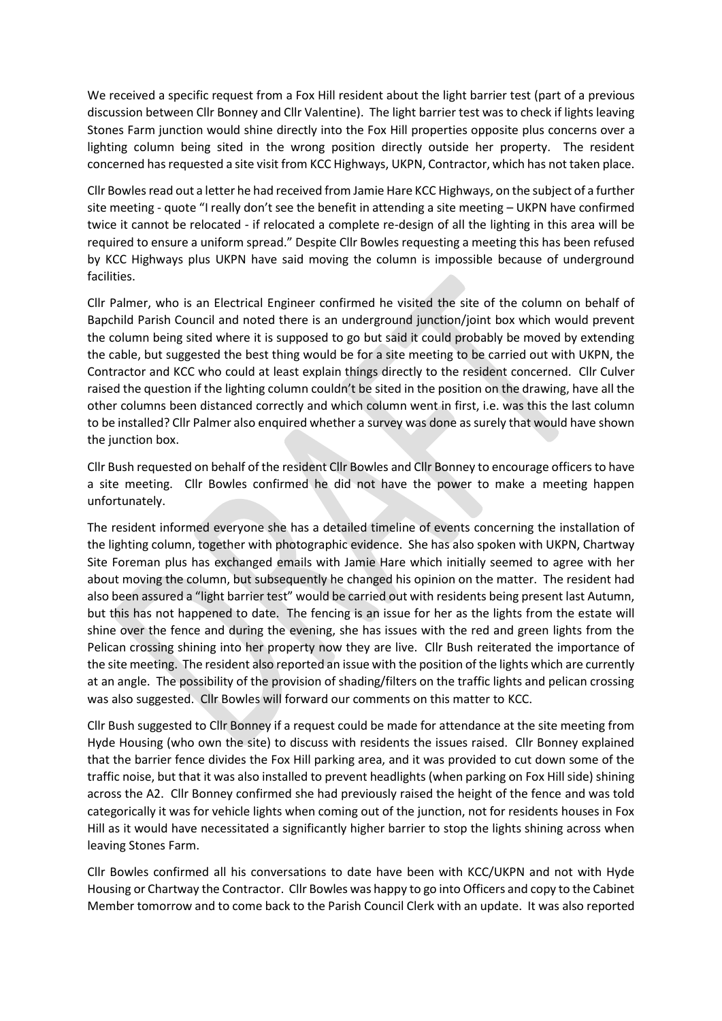We received a specific request from a Fox Hill resident about the light barrier test (part of a previous discussion between Cllr Bonney and Cllr Valentine). The light barrier test was to check if lights leaving Stones Farm junction would shine directly into the Fox Hill properties opposite plus concerns over a lighting column being sited in the wrong position directly outside her property. The resident concerned has requested a site visit from KCC Highways, UKPN, Contractor, which has not taken place.

Cllr Bowles read out a letter he had received from Jamie Hare KCC Highways, on the subject of a further site meeting - quote "I really don't see the benefit in attending a site meeting – UKPN have confirmed twice it cannot be relocated - if relocated a complete re-design of all the lighting in this area will be required to ensure a uniform spread." Despite Cllr Bowles requesting a meeting this has been refused by KCC Highways plus UKPN have said moving the column is impossible because of underground facilities.

Cllr Palmer, who is an Electrical Engineer confirmed he visited the site of the column on behalf of Bapchild Parish Council and noted there is an underground junction/joint box which would prevent the column being sited where it is supposed to go but said it could probably be moved by extending the cable, but suggested the best thing would be for a site meeting to be carried out with UKPN, the Contractor and KCC who could at least explain things directly to the resident concerned. Cllr Culver raised the question if the lighting column couldn't be sited in the position on the drawing, have all the other columns been distanced correctly and which column went in first, i.e. was this the last column to be installed? Cllr Palmer also enquired whether a survey was done as surely that would have shown the junction box.

Cllr Bush requested on behalf of the resident Cllr Bowles and Cllr Bonney to encourage officers to have a site meeting. Cllr Bowles confirmed he did not have the power to make a meeting happen unfortunately.

The resident informed everyone she has a detailed timeline of events concerning the installation of the lighting column, together with photographic evidence. She has also spoken with UKPN, Chartway Site Foreman plus has exchanged emails with Jamie Hare which initially seemed to agree with her about moving the column, but subsequently he changed his opinion on the matter. The resident had also been assured a "light barrier test" would be carried out with residents being present last Autumn, but this has not happened to date. The fencing is an issue for her as the lights from the estate will shine over the fence and during the evening, she has issues with the red and green lights from the Pelican crossing shining into her property now they are live. Cllr Bush reiterated the importance of the site meeting. The resident also reported an issue with the position of the lights which are currently at an angle. The possibility of the provision of shading/filters on the traffic lights and pelican crossing was also suggested. Cllr Bowles will forward our comments on this matter to KCC.

Cllr Bush suggested to Cllr Bonney if a request could be made for attendance at the site meeting from Hyde Housing (who own the site) to discuss with residents the issues raised. Cllr Bonney explained that the barrier fence divides the Fox Hill parking area, and it was provided to cut down some of the traffic noise, but that it was also installed to prevent headlights (when parking on Fox Hill side) shining across the A2. Cllr Bonney confirmed she had previously raised the height of the fence and was told categorically it was for vehicle lights when coming out of the junction, not for residents houses in Fox Hill as it would have necessitated a significantly higher barrier to stop the lights shining across when leaving Stones Farm.

Cllr Bowles confirmed all his conversations to date have been with KCC/UKPN and not with Hyde Housing or Chartway the Contractor. Cllr Bowles was happy to go into Officers and copy to the Cabinet Member tomorrow and to come back to the Parish Council Clerk with an update. It was also reported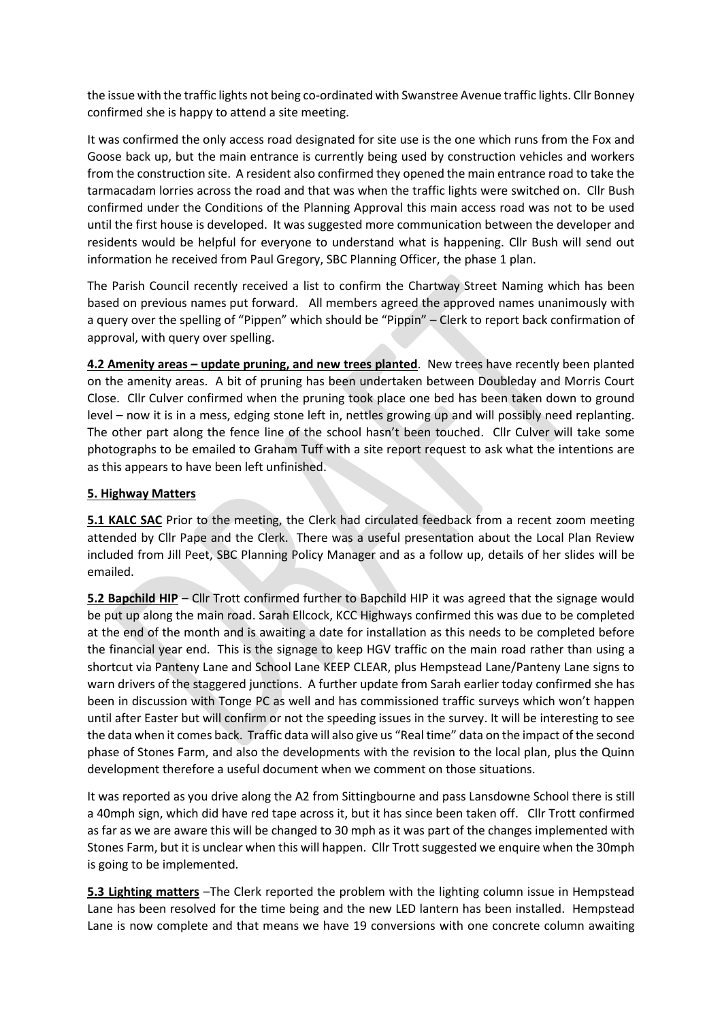the issue with the traffic lights not being co-ordinated with Swanstree Avenue traffic lights. Cllr Bonney confirmed she is happy to attend a site meeting.

It was confirmed the only access road designated for site use is the one which runs from the Fox and Goose back up, but the main entrance is currently being used by construction vehicles and workers from the construction site. A resident also confirmed they opened the main entrance road to take the tarmacadam lorries across the road and that was when the traffic lights were switched on. Cllr Bush confirmed under the Conditions of the Planning Approval this main access road was not to be used until the first house is developed. It was suggested more communication between the developer and residents would be helpful for everyone to understand what is happening. Cllr Bush will send out information he received from Paul Gregory, SBC Planning Officer, the phase 1 plan.

The Parish Council recently received a list to confirm the Chartway Street Naming which has been based on previous names put forward. All members agreed the approved names unanimously with a query over the spelling of "Pippen" which should be "Pippin" – Clerk to report back confirmation of approval, with query over spelling.

**4.2 Amenity areas – update pruning, and new trees planted**. New trees have recently been planted on the amenity areas. A bit of pruning has been undertaken between Doubleday and Morris Court Close. Cllr Culver confirmed when the pruning took place one bed has been taken down to ground level – now it is in a mess, edging stone left in, nettles growing up and will possibly need replanting. The other part along the fence line of the school hasn't been touched. Cllr Culver will take some photographs to be emailed to Graham Tuff with a site report request to ask what the intentions are as this appears to have been left unfinished.

## **5. Highway Matters**

**5.1 KALC SAC** Prior to the meeting, the Clerk had circulated feedback from a recent zoom meeting attended by Cllr Pape and the Clerk. There was a useful presentation about the Local Plan Review included from Jill Peet, SBC Planning Policy Manager and as a follow up, details of her slides will be emailed.

**5.2 Bapchild HIP** – Cllr Trott confirmed further to Bapchild HIP it was agreed that the signage would be put up along the main road. Sarah Ellcock, KCC Highways confirmed this was due to be completed at the end of the month and is awaiting a date for installation as this needs to be completed before the financial year end. This is the signage to keep HGV traffic on the main road rather than using a shortcut via Panteny Lane and School Lane KEEP CLEAR, plus Hempstead Lane/Panteny Lane signs to warn drivers of the staggered junctions. A further update from Sarah earlier today confirmed she has been in discussion with Tonge PC as well and has commissioned traffic surveys which won't happen until after Easter but will confirm or not the speeding issues in the survey. It will be interesting to see the data when it comes back. Traffic data will also give us "Real time" data on the impact of the second phase of Stones Farm, and also the developments with the revision to the local plan, plus the Quinn development therefore a useful document when we comment on those situations.

It was reported as you drive along the A2 from Sittingbourne and pass Lansdowne School there is still a 40mph sign, which did have red tape across it, but it has since been taken off. Cllr Trott confirmed as far as we are aware this will be changed to 30 mph as it was part of the changes implemented with Stones Farm, but it is unclear when this will happen. Cllr Trott suggested we enquire when the 30mph is going to be implemented.

**5.3 Lighting matters** –The Clerk reported the problem with the lighting column issue in Hempstead Lane has been resolved for the time being and the new LED lantern has been installed. Hempstead Lane is now complete and that means we have 19 conversions with one concrete column awaiting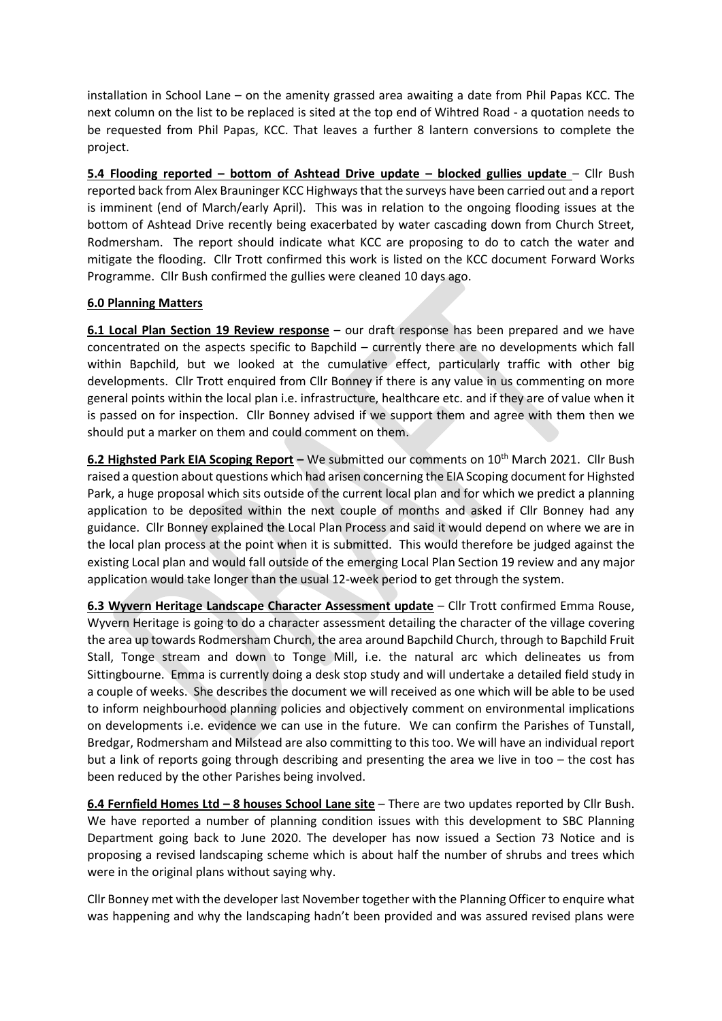installation in School Lane – on the amenity grassed area awaiting a date from Phil Papas KCC. The next column on the list to be replaced is sited at the top end of Wihtred Road - a quotation needs to be requested from Phil Papas, KCC. That leaves a further 8 lantern conversions to complete the project.

**5.4 Flooding reported – bottom of Ashtead Drive update – blocked gullies update** – Cllr Bush reported back from Alex Brauninger KCC Highways that the surveys have been carried out and a report is imminent (end of March/early April). This was in relation to the ongoing flooding issues at the bottom of Ashtead Drive recently being exacerbated by water cascading down from Church Street, Rodmersham. The report should indicate what KCC are proposing to do to catch the water and mitigate the flooding. Cllr Trott confirmed this work is listed on the KCC document Forward Works Programme. Cllr Bush confirmed the gullies were cleaned 10 days ago.

#### **6.0 Planning Matters**

**6.1 Local Plan Section 19 Review response** – our draft response has been prepared and we have concentrated on the aspects specific to Bapchild – currently there are no developments which fall within Bapchild, but we looked at the cumulative effect, particularly traffic with other big developments. Cllr Trott enquired from Cllr Bonney if there is any value in us commenting on more general points within the local plan i.e. infrastructure, healthcare etc. and if they are of value when it is passed on for inspection. Cllr Bonney advised if we support them and agree with them then we should put a marker on them and could comment on them.

**6.2 Highsted Park EIA Scoping Report** – We submitted our comments on 10<sup>th</sup> March 2021. Cllr Bush raised a question about questions which had arisen concerning the EIA Scoping document for Highsted Park, a huge proposal which sits outside of the current local plan and for which we predict a planning application to be deposited within the next couple of months and asked if Cllr Bonney had any guidance. Cllr Bonney explained the Local Plan Process and said it would depend on where we are in the local plan process at the point when it is submitted. This would therefore be judged against the existing Local plan and would fall outside of the emerging Local Plan Section 19 review and any major application would take longer than the usual 12-week period to get through the system.

**6.3 Wyvern Heritage Landscape Character Assessment update** – Cllr Trott confirmed Emma Rouse, Wyvern Heritage is going to do a character assessment detailing the character of the village covering the area up towards Rodmersham Church, the area around Bapchild Church, through to Bapchild Fruit Stall, Tonge stream and down to Tonge Mill, i.e. the natural arc which delineates us from Sittingbourne. Emma is currently doing a desk stop study and will undertake a detailed field study in a couple of weeks. She describes the document we will received as one which will be able to be used to inform neighbourhood planning policies and objectively comment on environmental implications on developments i.e. evidence we can use in the future. We can confirm the Parishes of Tunstall, Bredgar, Rodmersham and Milstead are also committing to this too. We will have an individual report but a link of reports going through describing and presenting the area we live in too – the cost has been reduced by the other Parishes being involved.

**6.4 Fernfield Homes Ltd – 8 houses School Lane site** – There are two updates reported by Cllr Bush. We have reported a number of planning condition issues with this development to SBC Planning Department going back to June 2020. The developer has now issued a Section 73 Notice and is proposing a revised landscaping scheme which is about half the number of shrubs and trees which were in the original plans without saying why.

Cllr Bonney met with the developer last November together with the Planning Officer to enquire what was happening and why the landscaping hadn't been provided and was assured revised plans were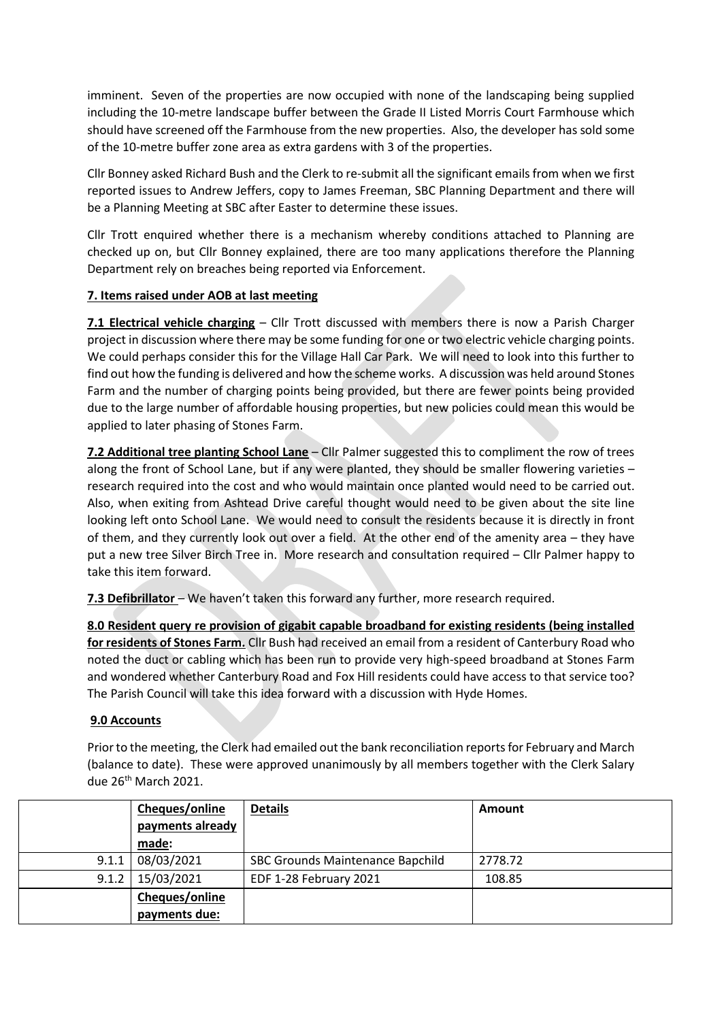imminent. Seven of the properties are now occupied with none of the landscaping being supplied including the 10-metre landscape buffer between the Grade II Listed Morris Court Farmhouse which should have screened off the Farmhouse from the new properties. Also, the developer has sold some of the 10-metre buffer zone area as extra gardens with 3 of the properties.

Cllr Bonney asked Richard Bush and the Clerk to re-submit all the significant emails from when we first reported issues to Andrew Jeffers, copy to James Freeman, SBC Planning Department and there will be a Planning Meeting at SBC after Easter to determine these issues.

Cllr Trott enquired whether there is a mechanism whereby conditions attached to Planning are checked up on, but Cllr Bonney explained, there are too many applications therefore the Planning Department rely on breaches being reported via Enforcement.

# **7. Items raised under AOB at last meeting**

**7.1 Electrical vehicle charging** – Cllr Trott discussed with members there is now a Parish Charger project in discussion where there may be some funding for one or two electric vehicle charging points. We could perhaps consider this for the Village Hall Car Park. We will need to look into this further to find out how the funding is delivered and how the scheme works. A discussion was held around Stones Farm and the number of charging points being provided, but there are fewer points being provided due to the large number of affordable housing properties, but new policies could mean this would be applied to later phasing of Stones Farm.

**7.2 Additional tree planting School Lane** – Cllr Palmer suggested this to compliment the row of trees along the front of School Lane, but if any were planted, they should be smaller flowering varieties – research required into the cost and who would maintain once planted would need to be carried out. Also, when exiting from Ashtead Drive careful thought would need to be given about the site line looking left onto School Lane. We would need to consult the residents because it is directly in front of them, and they currently look out over a field. At the other end of the amenity area – they have put a new tree Silver Birch Tree in. More research and consultation required – Cllr Palmer happy to take this item forward.

**7.3 Defibrillator** – We haven't taken this forward any further, more research required.

**8.0 Resident query re provision of gigabit capable broadband for existing residents (being installed for residents of Stones Farm.** Cllr Bush had received an email from a resident of Canterbury Road who noted the duct or cabling which has been run to provide very high-speed broadband at Stones Farm and wondered whether Canterbury Road and Fox Hill residents could have access to that service too? The Parish Council will take this idea forward with a discussion with Hyde Homes.

## **9.0 Accounts**

Prior to the meeting, the Clerk had emailed out the bank reconciliation reports for February and March (balance to date). These were approved unanimously by all members together with the Clerk Salary due 26<sup>th</sup> March 2021.

|       | Cheques/online   | <b>Details</b>                   | Amount  |
|-------|------------------|----------------------------------|---------|
|       | payments already |                                  |         |
|       | made:            |                                  |         |
| 9.1.1 | 08/03/2021       | SBC Grounds Maintenance Bapchild | 2778.72 |
| 9.1.2 | 15/03/2021       | EDF 1-28 February 2021           | 108.85  |
|       | Cheques/online   |                                  |         |
|       | payments due:    |                                  |         |